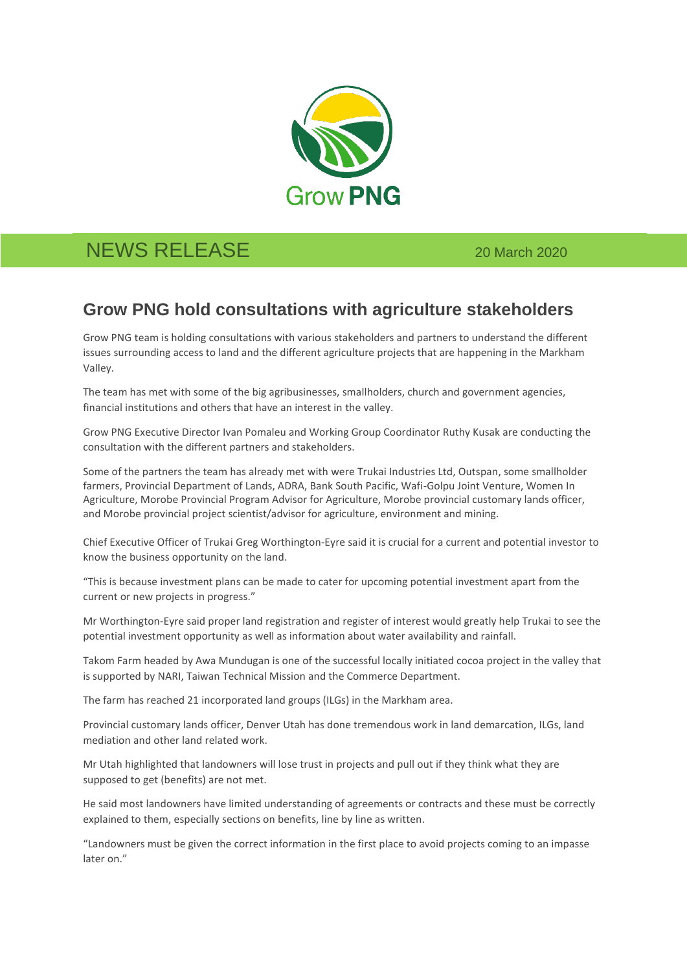

## NEWS RELEASE 20 March 2020

## **Grow PNG hold consultations with agriculture stakeholders**

Grow PNG team is holding consultations with various stakeholders and partners to understand the different issues surrounding access to land and the different agriculture projects that are happening in the Markham Valley.

The team has met with some of the big agribusinesses, smallholders, church and government agencies, financial institutions and others that have an interest in the valley.

Grow PNG Executive Director Ivan Pomaleu and Working Group Coordinator Ruthy Kusak are conducting the consultation with the different partners and stakeholders.

Some of the partners the team has already met with were Trukai Industries Ltd, Outspan, some smallholder farmers, Provincial Department of Lands, ADRA, Bank South Pacific, Wafi-Golpu Joint Venture, Women In Agriculture, Morobe Provincial Program Advisor for Agriculture, Morobe provincial customary lands officer, and Morobe provincial project scientist/advisor for agriculture, environment and mining.

Chief Executive Officer of Trukai Greg Worthington-Eyre said it is crucial for a current and potential investor to know the business opportunity on the land.

"This is because investment plans can be made to cater for upcoming potential investment apart from the current or new projects in progress."

Mr Worthington-Eyre said proper land registration and register of interest would greatly help Trukai to see the potential investment opportunity as well as information about water availability and rainfall.

Takom Farm headed by Awa Mundugan is one of the successful locally initiated cocoa project in the valley that is supported by NARI, Taiwan Technical Mission and the Commerce Department.

The farm has reached 21 incorporated land groups (ILGs) in the Markham area.

Provincial customary lands officer, Denver Utah has done tremendous work in land demarcation, ILGs, land mediation and other land related work.

Mr Utah highlighted that landowners will lose trust in projects and pull out if they think what they are supposed to get (benefits) are not met.

He said most landowners have limited understanding of agreements or contracts and these must be correctly explained to them, especially sections on benefits, line by line as written.

"Landowners must be given the correct information in the first place to avoid projects coming to an impasse later on."